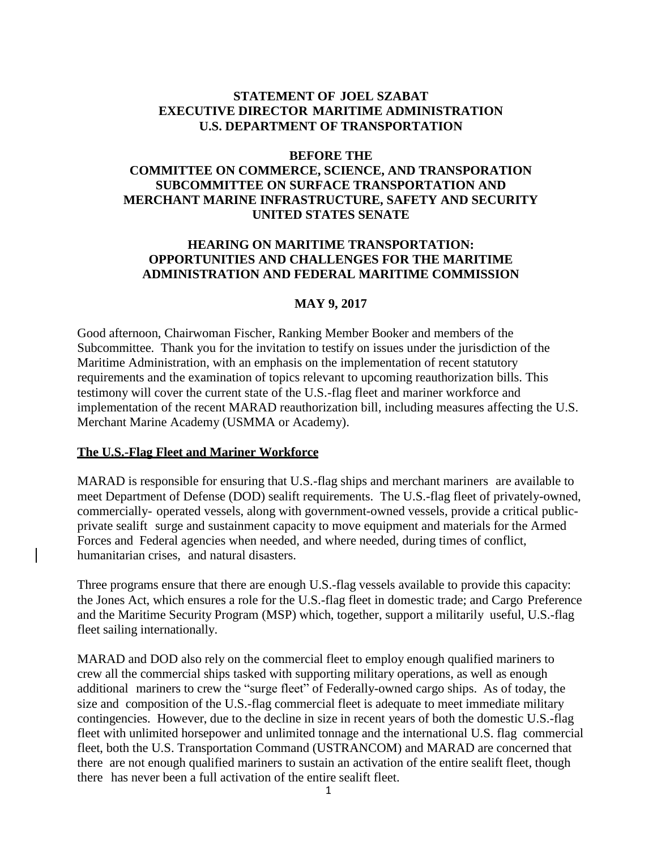### **STATEMENT OF JOEL SZABAT EXECUTIVE DIRECTOR MARITIME ADMINISTRATION U.S. DEPARTMENT OF TRANSPORTATION**

#### **BEFORE THE**

# **COMMITTEE ON COMMERCE, SCIENCE, AND TRANSPORATION SUBCOMMITTEE ON SURFACE TRANSPORTATION AND MERCHANT MARINE INFRASTRUCTURE, SAFETY AND SECURITY UNITED STATES SENATE**

### **HEARING ON MARITIME TRANSPORTATION: OPPORTUNITIES AND CHALLENGES FOR THE MARITIME ADMINISTRATION AND FEDERAL MARITIME COMMISSION**

#### **MAY 9, 2017**

Good afternoon, Chairwoman Fischer, Ranking Member Booker and members of the Subcommittee. Thank you for the invitation to testify on issues under the jurisdiction of the Maritime Administration, with an emphasis on the implementation of recent statutory requirements and the examination of topics relevant to upcoming reauthorization bills. This testimony will cover the current state of the U.S.-flag fleet and mariner workforce and implementation of the recent MARAD reauthorization bill, including measures affecting the U.S. Merchant Marine Academy (USMMA or Academy).

#### **The U.S.-Flag Fleet and Mariner Workforce**

MARAD is responsible for ensuring that U.S.-flag ships and merchant mariners are available to meet Department of Defense (DOD) sealift requirements. The U.S.-flag fleet of privately-owned, commercially- operated vessels, along with government-owned vessels, provide a critical publicprivate sealift surge and sustainment capacity to move equipment and materials for the Armed Forces and Federal agencies when needed, and where needed, during times of conflict, humanitarian crises, and natural disasters.

Three programs ensure that there are enough U.S.-flag vessels available to provide this capacity: the Jones Act, which ensures a role for the U.S.-flag fleet in domestic trade; and Cargo Preference and the Maritime Security Program (MSP) which, together, support a militarily useful, U.S.-flag fleet sailing internationally.

MARAD and DOD also rely on the commercial fleet to employ enough qualified mariners to crew all the commercial ships tasked with supporting military operations, as well as enough additional mariners to crew the "surge fleet" of Federally-owned cargo ships. As of today, the size and composition of the U.S.-flag commercial fleet is adequate to meet immediate military contingencies. However, due to the decline in size in recent years of both the domestic U.S.-flag fleet with unlimited horsepower and unlimited tonnage and the international U.S. flag commercial fleet, both the U.S. Transportation Command (USTRANCOM) and MARAD are concerned that there are not enough qualified mariners to sustain an activation of the entire sealift fleet, though there has never been a full activation of the entire sealift fleet.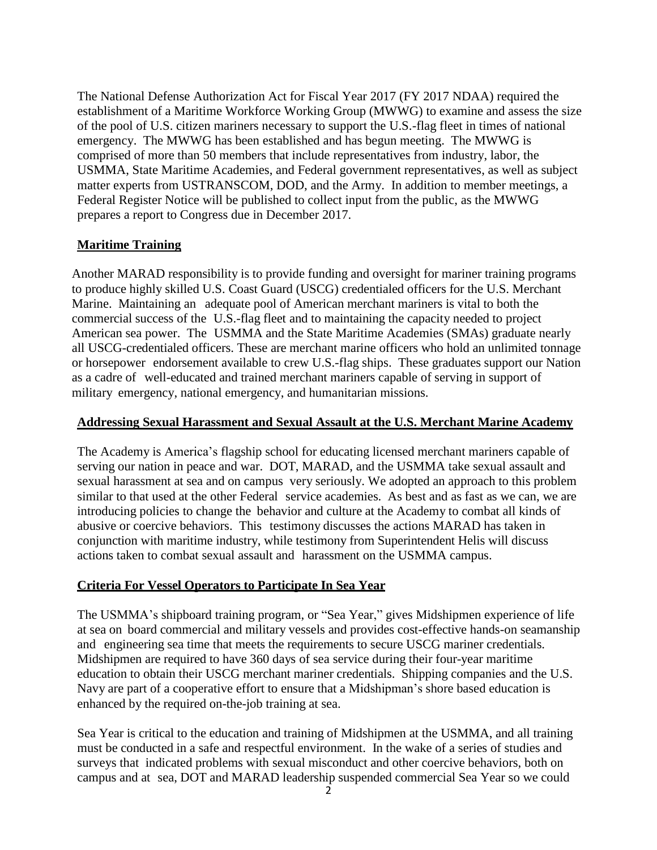The National Defense Authorization Act for Fiscal Year 2017 (FY 2017 NDAA) required the establishment of a Maritime Workforce Working Group (MWWG) to examine and assess the size of the pool of U.S. citizen mariners necessary to support the U.S.-flag fleet in times of national emergency. The MWWG has been established and has begun meeting. The MWWG is comprised of more than 50 members that include representatives from industry, labor, the USMMA, State Maritime Academies, and Federal government representatives, as well as subject matter experts from USTRANSCOM, DOD, and the Army. In addition to member meetings, a Federal Register Notice will be published to collect input from the public, as the MWWG prepares a report to Congress due in December 2017.

# **Maritime Training**

Another MARAD responsibility is to provide funding and oversight for mariner training programs to produce highly skilled U.S. Coast Guard (USCG) credentialed officers for the U.S. Merchant Marine. Maintaining an adequate pool of American merchant mariners is vital to both the commercial success of the U.S.-flag fleet and to maintaining the capacity needed to project American sea power. The USMMA and the State Maritime Academies (SMAs) graduate nearly all USCG-credentialed officers. These are merchant marine officers who hold an unlimited tonnage or horsepower endorsement available to crew U.S.-flag ships. These graduates support our Nation as a cadre of well-educated and trained merchant mariners capable of serving in support of military emergency, national emergency, and humanitarian missions.

### **Addressing Sexual Harassment and Sexual Assault at the U.S. Merchant Marine Academy**

The Academy is America's flagship school for educating licensed merchant mariners capable of serving our nation in peace and war. DOT, MARAD, and the USMMA take sexual assault and sexual harassment at sea and on campus very seriously. We adopted an approach to this problem similar to that used at the other Federal service academies. As best and as fast as we can, we are introducing policies to change the behavior and culture at the Academy to combat all kinds of abusive or coercive behaviors. This testimony discusses the actions MARAD has taken in conjunction with maritime industry, while testimony from Superintendent Helis will discuss actions taken to combat sexual assault and harassment on the USMMA campus.

# **Criteria For Vessel Operators to Participate In Sea Year**

The USMMA's shipboard training program, or "Sea Year," gives Midshipmen experience of life at sea on board commercial and military vessels and provides cost-effective hands-on seamanship and engineering sea time that meets the requirements to secure USCG mariner credentials. Midshipmen are required to have 360 days of sea service during their four-year maritime education to obtain their USCG merchant mariner credentials. Shipping companies and the U.S. Navy are part of a cooperative effort to ensure that a Midshipman's shore based education is enhanced by the required on-the-job training at sea.

Sea Year is critical to the education and training of Midshipmen at the USMMA, and all training must be conducted in a safe and respectful environment. In the wake of a series of studies and surveys that indicated problems with sexual misconduct and other coercive behaviors, both on campus and at sea, DOT and MARAD leadership suspended commercial Sea Year so we could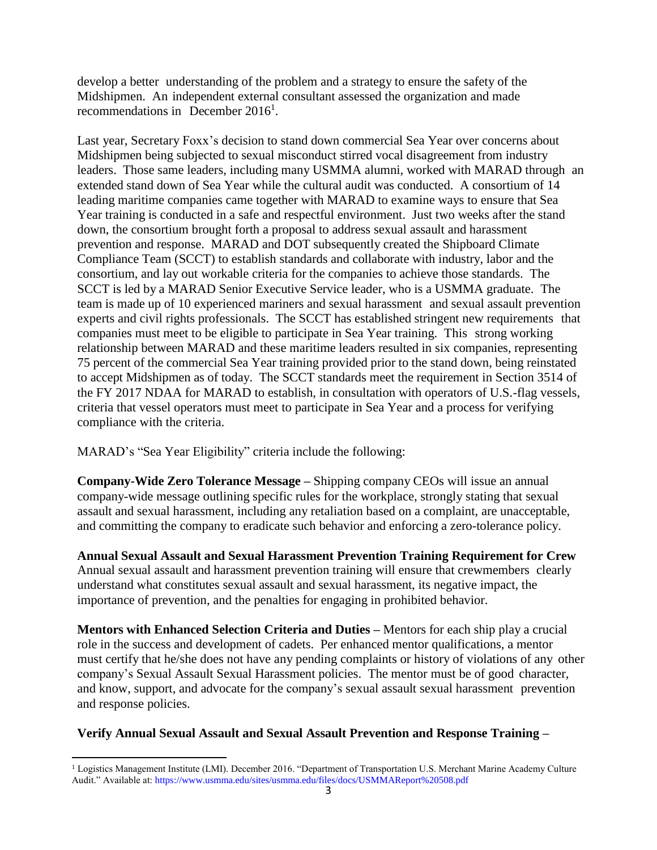develop a better understanding of the problem and a strategy to ensure the safety of the Midshipmen. An independent external consultant assessed the organization and made recommendations in December 2016<sup>1</sup>.

Last year, Secretary Foxx's decision to stand down commercial Sea Year over concerns about Midshipmen being subjected to sexual misconduct stirred vocal disagreement from industry leaders. Those same leaders, including many USMMA alumni, worked with MARAD through an extended stand down of Sea Year while the cultural audit was conducted. A consortium of 14 leading maritime companies came together with MARAD to examine ways to ensure that Sea Year training is conducted in a safe and respectful environment. Just two weeks after the stand down, the consortium brought forth a proposal to address sexual assault and harassment prevention and response. MARAD and DOT subsequently created the Shipboard Climate Compliance Team (SCCT) to establish standards and collaborate with industry, labor and the consortium, and lay out workable criteria for the companies to achieve those standards. The SCCT is led by a MARAD Senior Executive Service leader, who is a USMMA graduate. The team is made up of 10 experienced mariners and sexual harassment and sexual assault prevention experts and civil rights professionals. The SCCT has established stringent new requirements that companies must meet to be eligible to participate in Sea Year training. This strong working relationship between MARAD and these maritime leaders resulted in six companies, representing 75 percent of the commercial Sea Year training provided prior to the stand down, being reinstated to accept Midshipmen as of today. The SCCT standards meet the requirement in Section 3514 of the FY 2017 NDAA for MARAD to establish, in consultation with operators of U.S.-flag vessels, criteria that vessel operators must meet to participate in Sea Year and a process for verifying compliance with the criteria.

MARAD's "Sea Year Eligibility" criteria include the following:

**Company-Wide Zero Tolerance Message –** Shipping company CEOs will issue an annual company-wide message outlining specific rules for the workplace, strongly stating that sexual assault and sexual harassment, including any retaliation based on a complaint, are unacceptable, and committing the company to eradicate such behavior and enforcing a zero-tolerance policy.

**Annual Sexual Assault and Sexual Harassment Prevention Training Requirement for Crew** Annual sexual assault and harassment prevention training will ensure that crewmembers clearly understand what constitutes sexual assault and sexual harassment, its negative impact, the importance of prevention, and the penalties for engaging in prohibited behavior.

**Mentors with Enhanced Selection Criteria and Duties –** Mentors for each ship play a crucial role in the success and development of cadets. Per enhanced mentor qualifications, a mentor must certify that he/she does not have any pending complaints or history of violations of any other company's Sexual Assault Sexual Harassment policies. The mentor must be of good character, and know, support, and advocate for the company's sexual assault sexual harassment prevention and response policies.

### **Verify Annual Sexual Assault and Sexual Assault Prevention and Response Training –**

 $\ddot{\phantom{a}}$ <sup>1</sup> Logistics Management Institute (LMI). December 2016. "Department of Transportation U.S. Merchant Marine Academy Culture Audit." Available at: https://www.usmma.edu/sites/usmma.edu/files/docs/USMMAReport%20508.pdf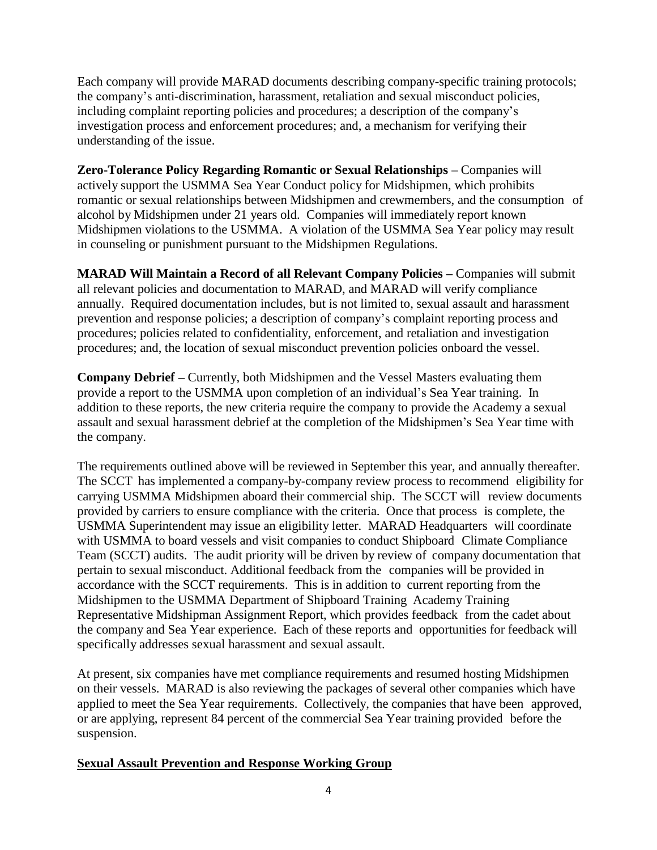Each company will provide MARAD documents describing company-specific training protocols; the company's anti-discrimination, harassment, retaliation and sexual misconduct policies, including complaint reporting policies and procedures; a description of the company's investigation process and enforcement procedures; and, a mechanism for verifying their understanding of the issue.

**Zero-Tolerance Policy Regarding Romantic or Sexual Relationships –** Companies will actively support the USMMA Sea Year Conduct policy for Midshipmen, which prohibits romantic or sexual relationships between Midshipmen and crewmembers, and the consumption of alcohol by Midshipmen under 21 years old. Companies will immediately report known Midshipmen violations to the USMMA. A violation of the USMMA Sea Year policy may result in counseling or punishment pursuant to the Midshipmen Regulations.

**MARAD Will Maintain a Record of all Relevant Company Policies –** Companies will submit all relevant policies and documentation to MARAD, and MARAD will verify compliance annually. Required documentation includes, but is not limited to, sexual assault and harassment prevention and response policies; a description of company's complaint reporting process and procedures; policies related to confidentiality, enforcement, and retaliation and investigation procedures; and, the location of sexual misconduct prevention policies onboard the vessel.

**Company Debrief –** Currently, both Midshipmen and the Vessel Masters evaluating them provide a report to the USMMA upon completion of an individual's Sea Year training. In addition to these reports, the new criteria require the company to provide the Academy a sexual assault and sexual harassment debrief at the completion of the Midshipmen's Sea Year time with the company.

The requirements outlined above will be reviewed in September this year, and annually thereafter. The SCCT has implemented a company-by-company review process to recommend eligibility for carrying USMMA Midshipmen aboard their commercial ship. The SCCT will review documents provided by carriers to ensure compliance with the criteria. Once that process is complete, the USMMA Superintendent may issue an eligibility letter. MARAD Headquarters will coordinate with USMMA to board vessels and visit companies to conduct Shipboard Climate Compliance Team (SCCT) audits. The audit priority will be driven by review of company documentation that pertain to sexual misconduct. Additional feedback from the companies will be provided in accordance with the SCCT requirements. This is in addition to current reporting from the Midshipmen to the USMMA Department of Shipboard Training Academy Training Representative Midshipman Assignment Report, which provides feedback from the cadet about the company and Sea Year experience. Each of these reports and opportunities for feedback will specifically addresses sexual harassment and sexual assault.

At present, six companies have met compliance requirements and resumed hosting Midshipmen on their vessels. MARAD is also reviewing the packages of several other companies which have applied to meet the Sea Year requirements. Collectively, the companies that have been approved, or are applying, represent 84 percent of the commercial Sea Year training provided before the suspension.

### **Sexual Assault Prevention and Response Working Group**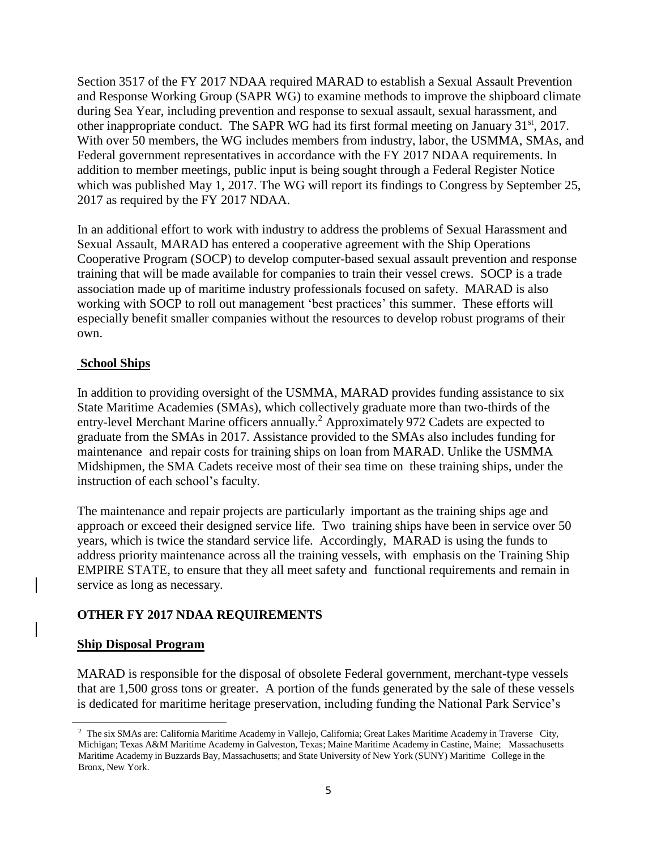Section 3517 of the FY 2017 NDAA required MARAD to establish a Sexual Assault Prevention and Response Working Group (SAPR WG) to examine methods to improve the shipboard climate during Sea Year, including prevention and response to sexual assault, sexual harassment, and other inappropriate conduct. The SAPR WG had its first formal meeting on January 31<sup>st</sup>, 2017. With over 50 members, the WG includes members from industry, labor, the USMMA, SMAs, and Federal government representatives in accordance with the FY 2017 NDAA requirements. In addition to member meetings, public input is being sought through a Federal Register Notice which was published May 1, 2017. The WG will report its findings to Congress by September 25, 2017 as required by the FY 2017 NDAA.

In an additional effort to work with industry to address the problems of Sexual Harassment and Sexual Assault, MARAD has entered a cooperative agreement with the Ship Operations Cooperative Program (SOCP) to develop computer-based sexual assault prevention and response training that will be made available for companies to train their vessel crews. SOCP is a trade association made up of maritime industry professionals focused on safety. MARAD is also working with SOCP to roll out management 'best practices' this summer. These efforts will especially benefit smaller companies without the resources to develop robust programs of their own.

### **School Ships**

In addition to providing oversight of the USMMA, MARAD provides funding assistance to six State Maritime Academies (SMAs), which collectively graduate more than two-thirds of the entry-level Merchant Marine officers annually.<sup>2</sup> Approximately 972 Cadets are expected to graduate from the SMAs in 2017. Assistance provided to the SMAs also includes funding for maintenance and repair costs for training ships on loan from MARAD. Unlike the USMMA Midshipmen, the SMA Cadets receive most of their sea time on these training ships, under the instruction of each school's faculty.

The maintenance and repair projects are particularly important as the training ships age and approach or exceed their designed service life. Two training ships have been in service over 50 years, which is twice the standard service life. Accordingly, MARAD is using the funds to address priority maintenance across all the training vessels, with emphasis on the Training Ship EMPIRE STATE, to ensure that they all meet safety and functional requirements and remain in service as long as necessary.

# **OTHER FY 2017 NDAA REQUIREMENTS**

# **Ship Disposal Program**

 $\overline{a}$ 

MARAD is responsible for the disposal of obsolete Federal government, merchant-type vessels that are 1,500 gross tons or greater. A portion of the funds generated by the sale of these vessels is dedicated for maritime heritage preservation, including funding the National Park Service's

<sup>2</sup> The six SMAs are: California Maritime Academy in Vallejo, California; Great Lakes Maritime Academy in Traverse City, Michigan; Texas A&M Maritime Academy in Galveston, Texas; Maine Maritime Academy in Castine, Maine; Massachusetts Maritime Academy in Buzzards Bay, Massachusetts; and State University of New York (SUNY) Maritime College in the Bronx, New York.